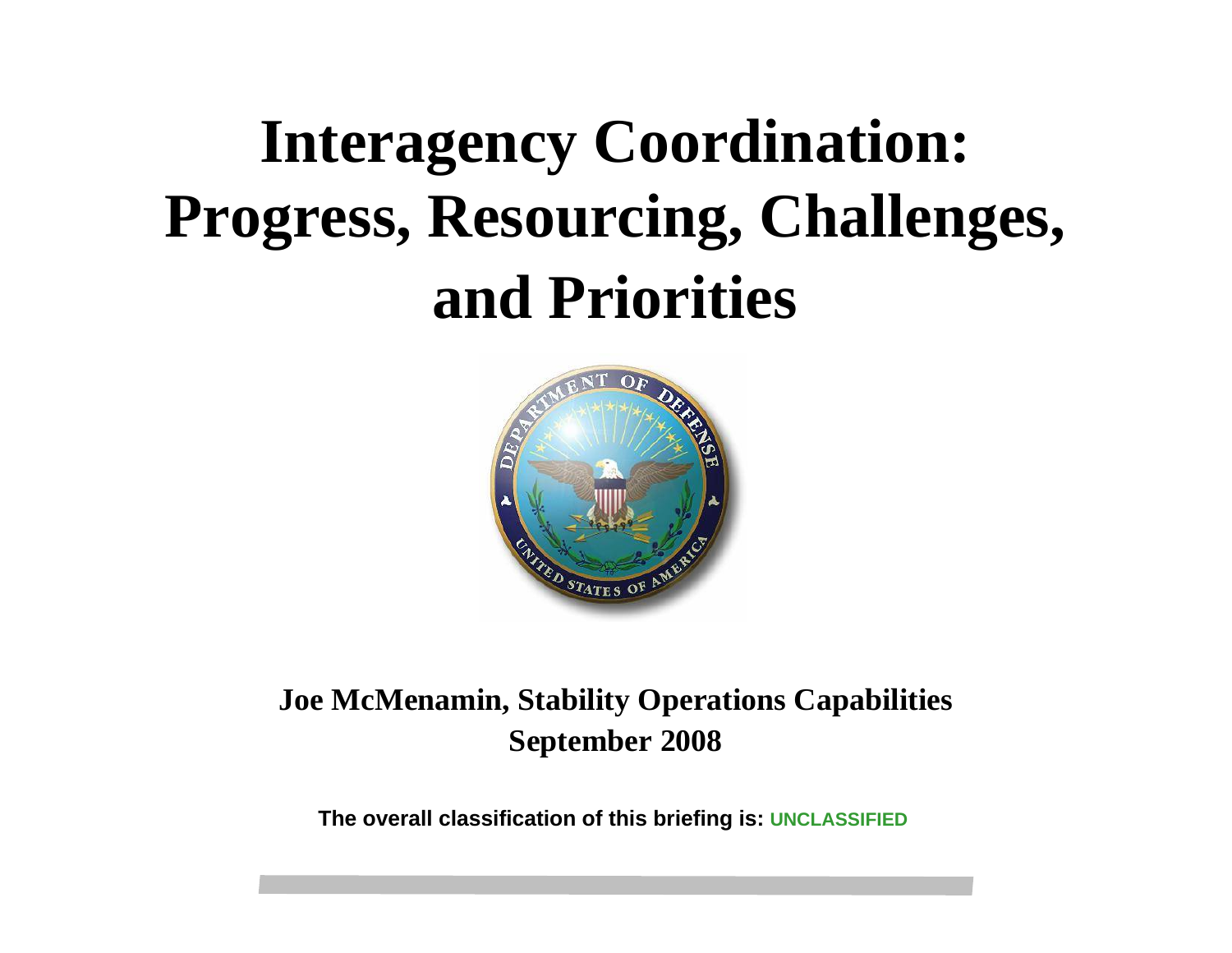## **Interagency Coordination: Progress, Resourcing, Challenges, and Priorities**



#### **Joe McMenamin, Stability Operations Capabilities September 2008**

**The overall classification of this briefing is: UNCLASSIFIED**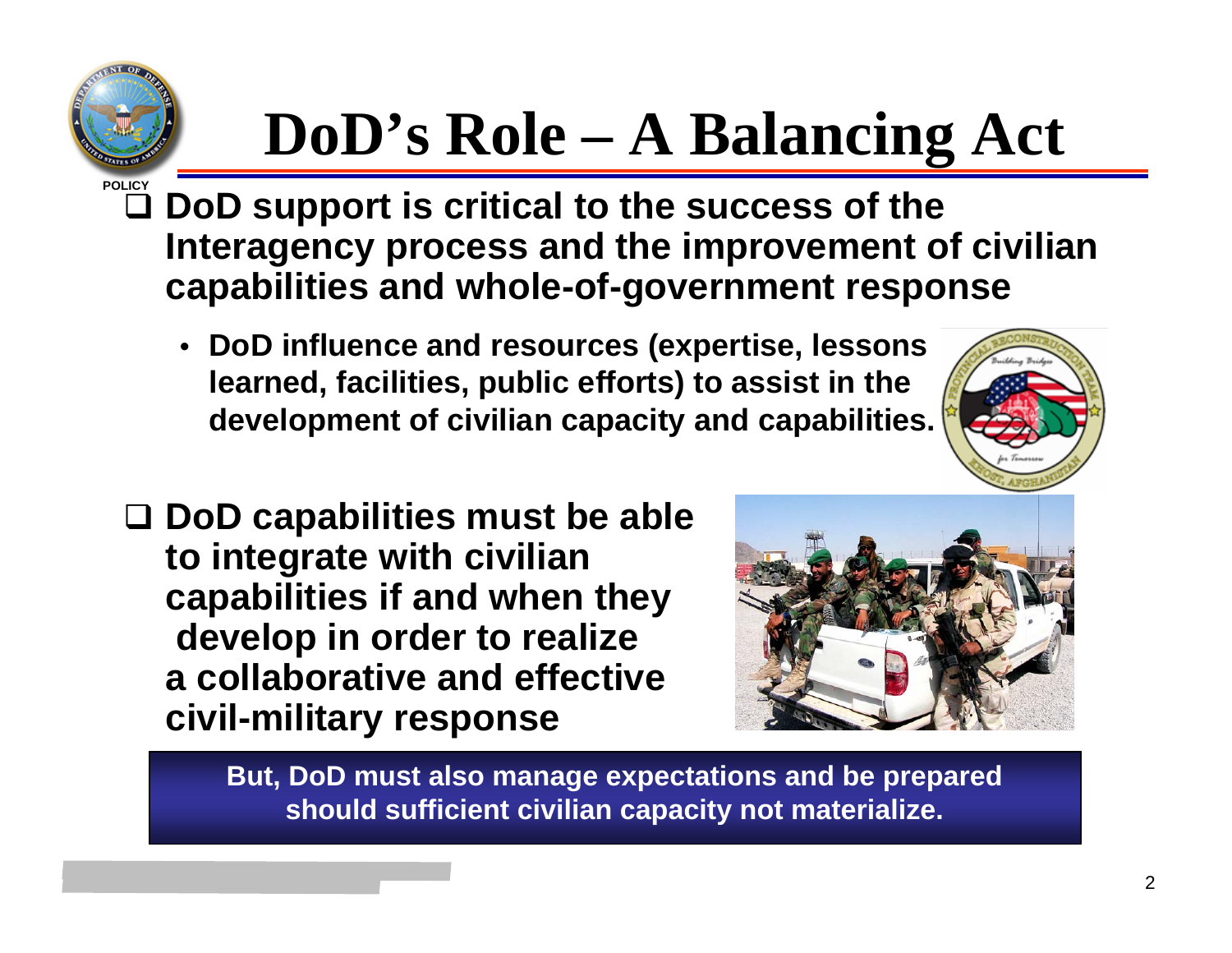# **POLICY**

# **DoD's Role – A Balancing Act**

- **DoD support is critical to the success of the Interagency process and the improvement of civilian capabilities and whole-of-government response**
	- **DoD influence and resources (expertise, lessons learned, facilities, public efforts) to assist in the development of civilian capacity and capabilities.**



 **DoD capabilities must be able to integrate with civilian capabilities if and when they develop in order to realize a collaborative and effective civil-military response**



**But, DoD must also manage expectations and be prepared should sufficient civilian capacity not materialize.**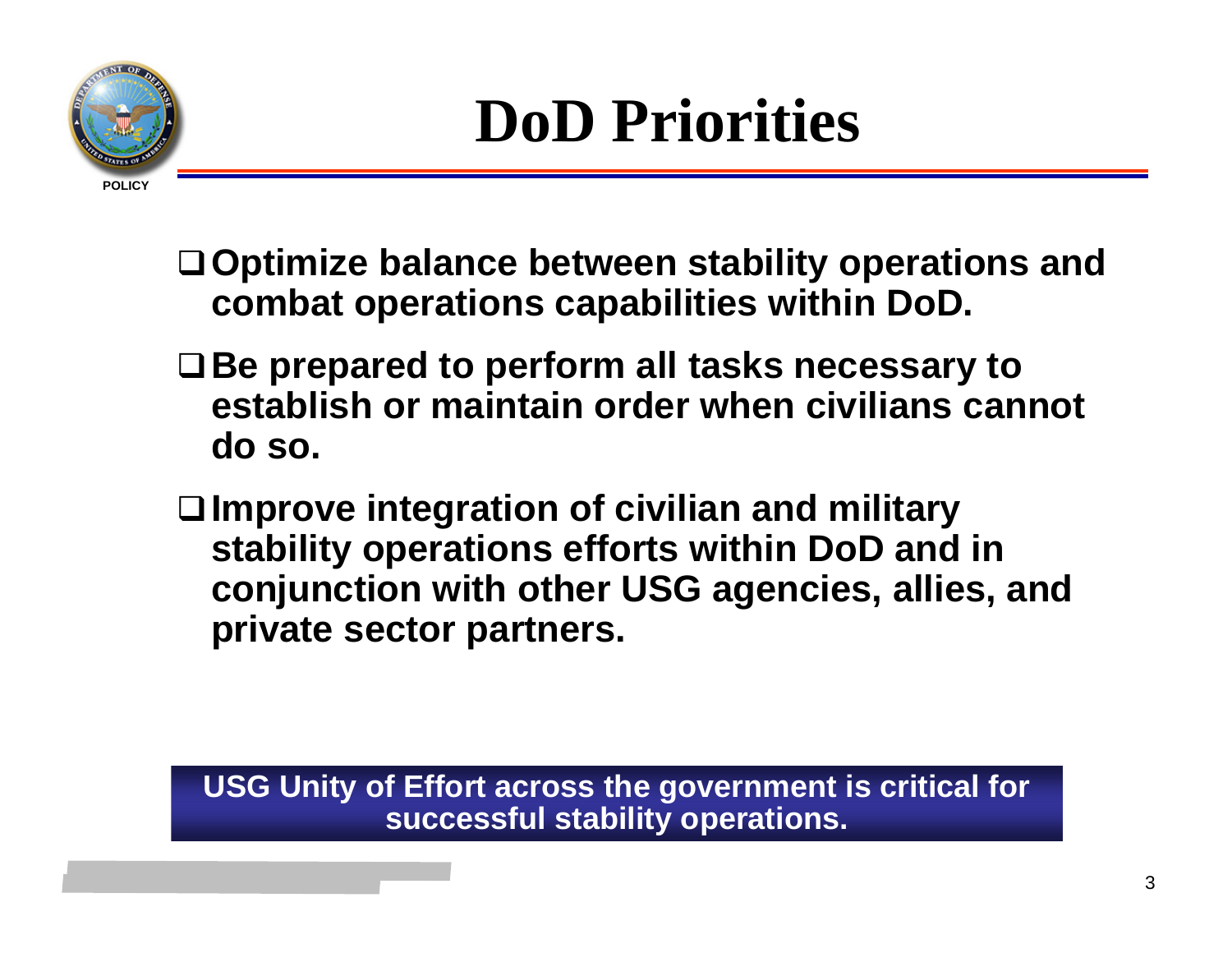

- **Optimize balance between stability operations and combat operations capabilities within DoD.**
- **Be prepared to perform all tasks necessary to establish or maintain order when civilians cannot do so.**
- **Improve integration of civilian and military stability operations efforts within DoD and in conjunction with other USG agencies, allies, and private sector partners.**

**USG Unity of Effort across the government is critical for successful stability operations.**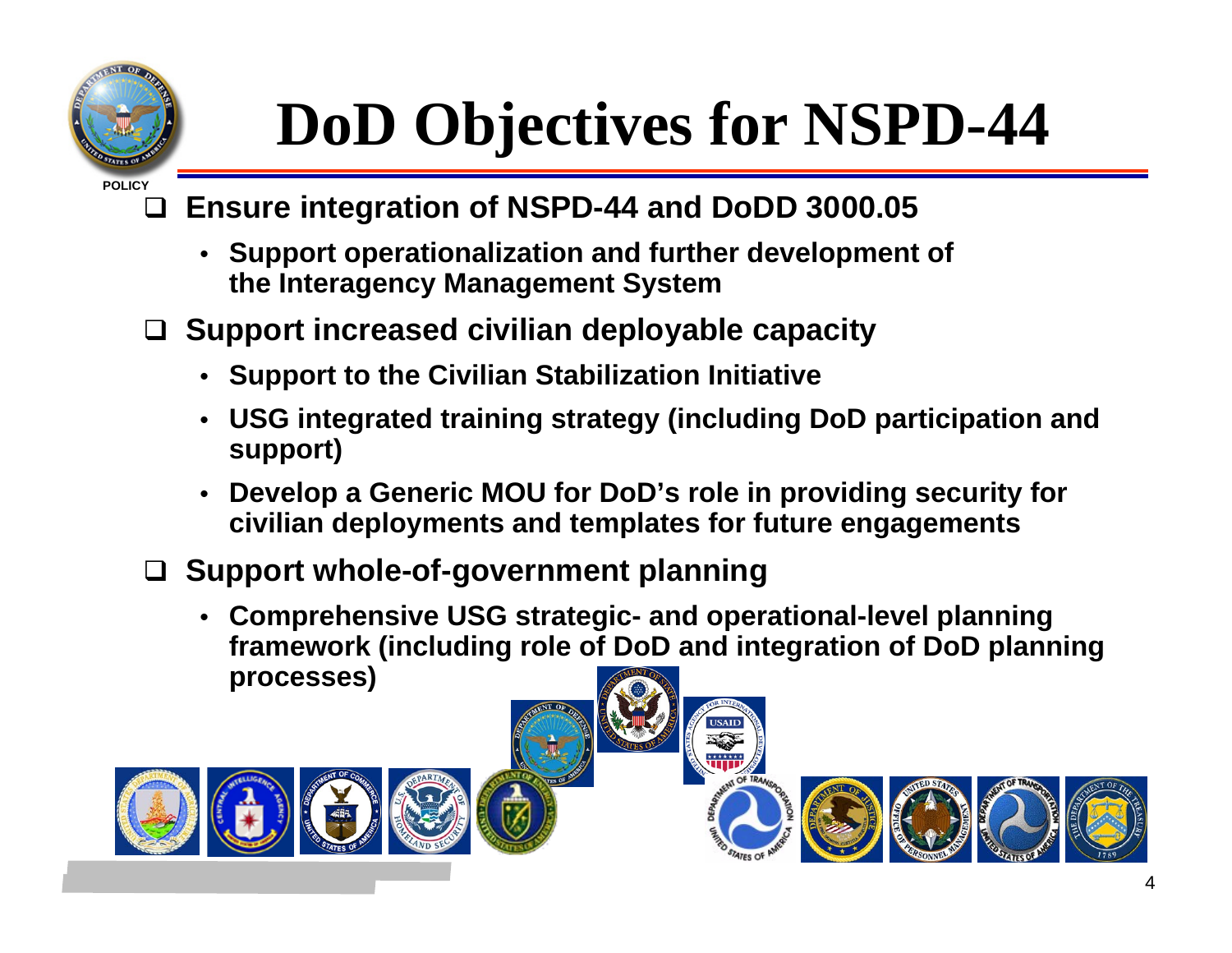

## **DoD Objectives for NSPD-44**

#### $\Box$ **Ensure integration of NSPD-44 and DoDD 3000.05**

- • **Support operationalization and further development of the Interagency Management System**
- **Support increased civilian deployable capacity**
	- **Support to the Civilian Stabilization Initiative**
	- • **USG integrated training strategy (including DoD participation and support)**
	- • **Develop a Generic MOU for DoD's role in providing security for civilian deployments and templates for future engagements**
- **Support whole-of-government planning** 
	- **Comprehensive USG strategic- and operational-level planning framework (including role of DoD and integration of DoD planning processes)**





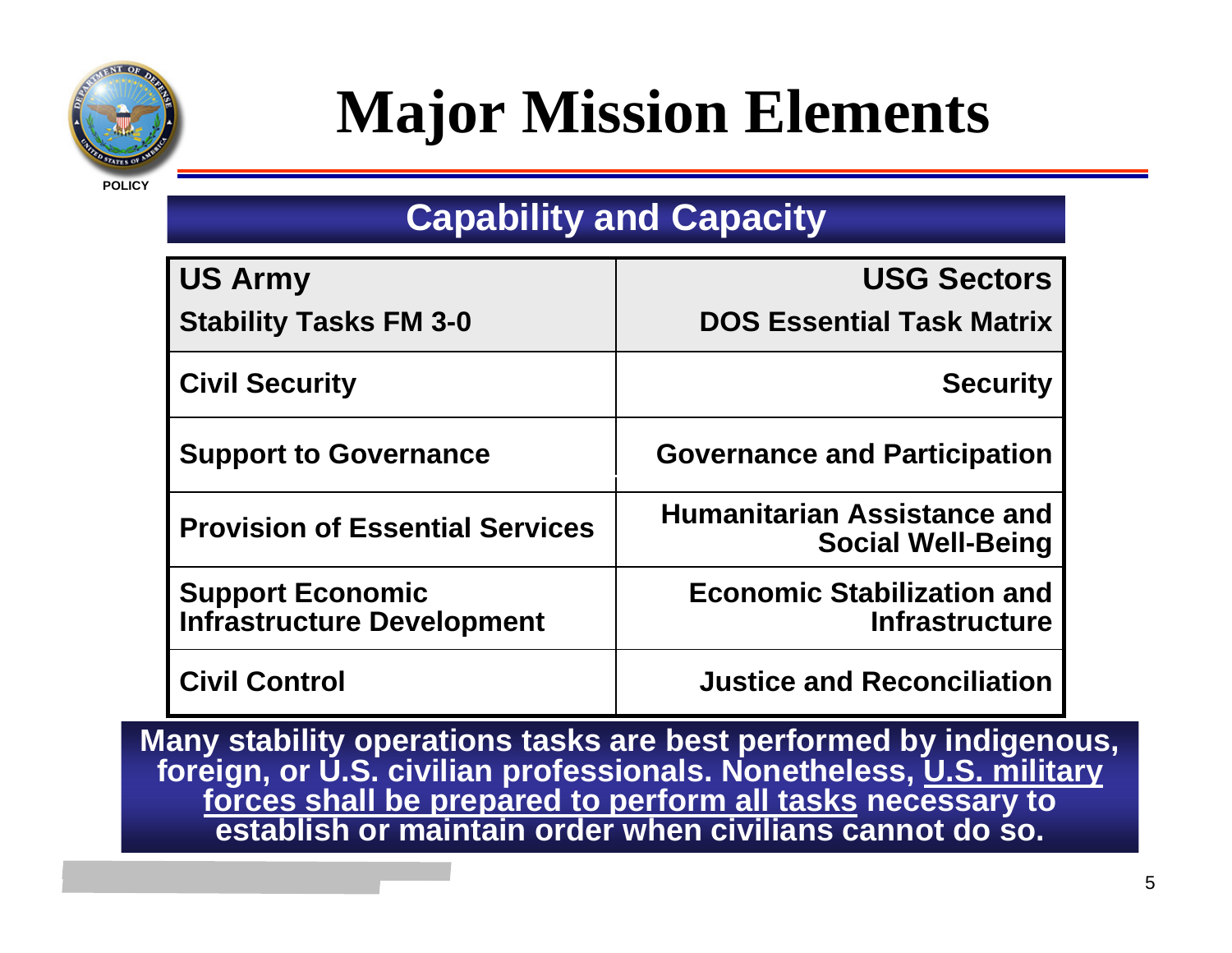

#### **Major Mission Elements**

#### **Capability and Capacity**

| <b>US Army</b>                                               | <b>USG Sectors</b>                                             |
|--------------------------------------------------------------|----------------------------------------------------------------|
| <b>Stability Tasks FM 3-0</b>                                | <b>DOS Essential Task Matrix</b>                               |
| <b>Civil Security</b>                                        | <b>Security</b>                                                |
| <b>Support to Governance</b>                                 | <b>Governance and Participation</b>                            |
| <b>Provision of Essential Services</b>                       | <b>Humanitarian Assistance and</b><br><b>Social Well-Being</b> |
| <b>Support Economic</b><br><b>Infrastructure Development</b> | <b>Economic Stabilization and</b><br><b>Infrastructure</b>     |
| <b>Civil Control</b>                                         | <b>Justice and Reconciliation</b>                              |

**Many stability operations tasks are best performed by indigenous, foreign, or U.S. civilian professionals. Nonetheless, U.S. military forces shall be prepared to perform all tasks necessary to establish or maintain order when civilians cannot do so.**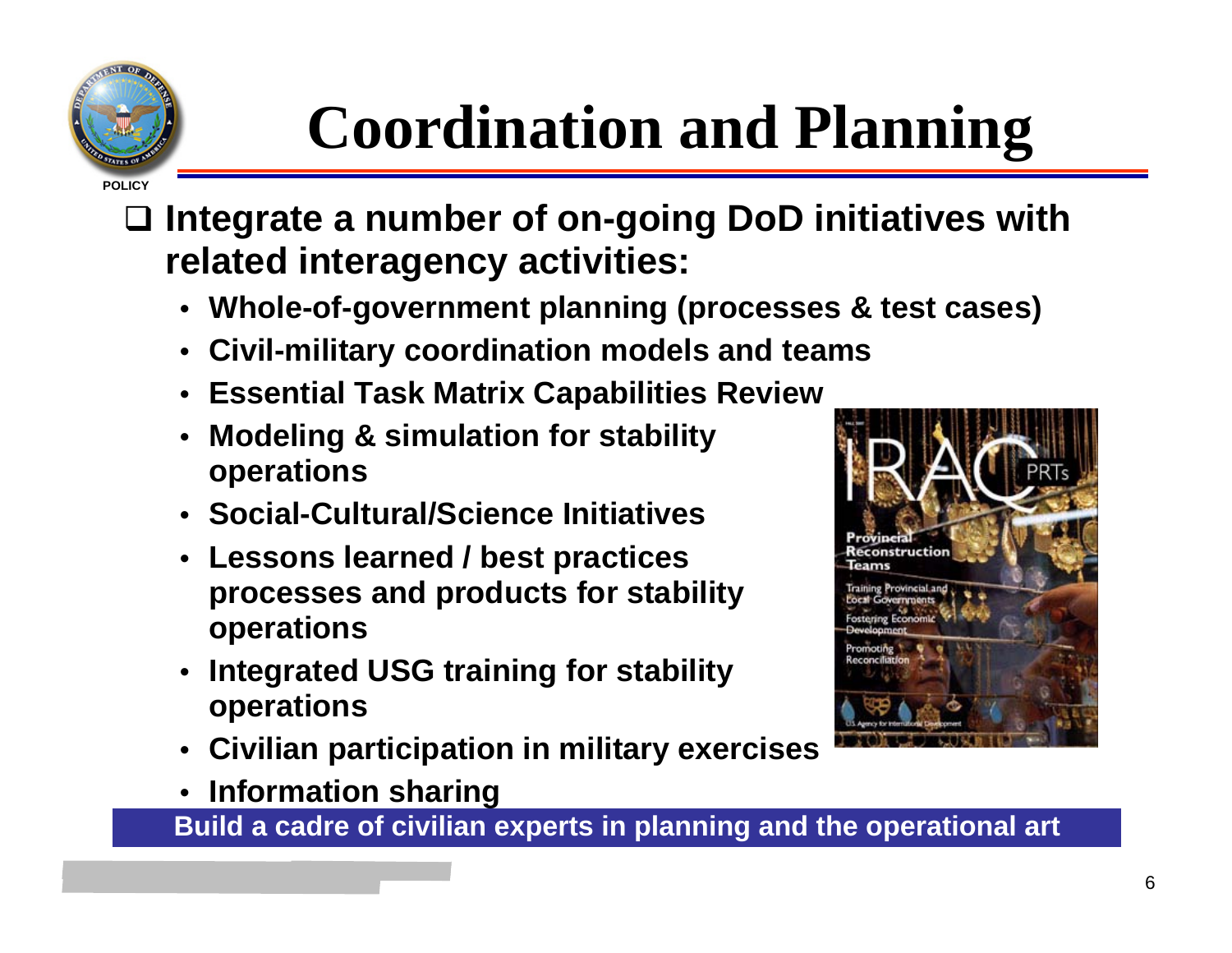

## **Coordination and Planning**

- $\Box$  **Integrate a number of on-going DoD initiatives with related interagency activities:**
	- **Whole-of-government planning (processes & test cases)**
	- **Civil-military coordination models and teams**
	- **Essential Task Matrix Capabilities Review**
	- **Modeling & simulation for stability operations**
	- **Social-Cultural/Science Initiatives**
	- • **Lessons learned / best practices processes and products for stability operations**
	- • **Integrated USG training for stability operations**
	- •**Civilian participation in military exercises**
	- •**Information sharing**

**Build a cadre of civilian experts in planning and the operational art**

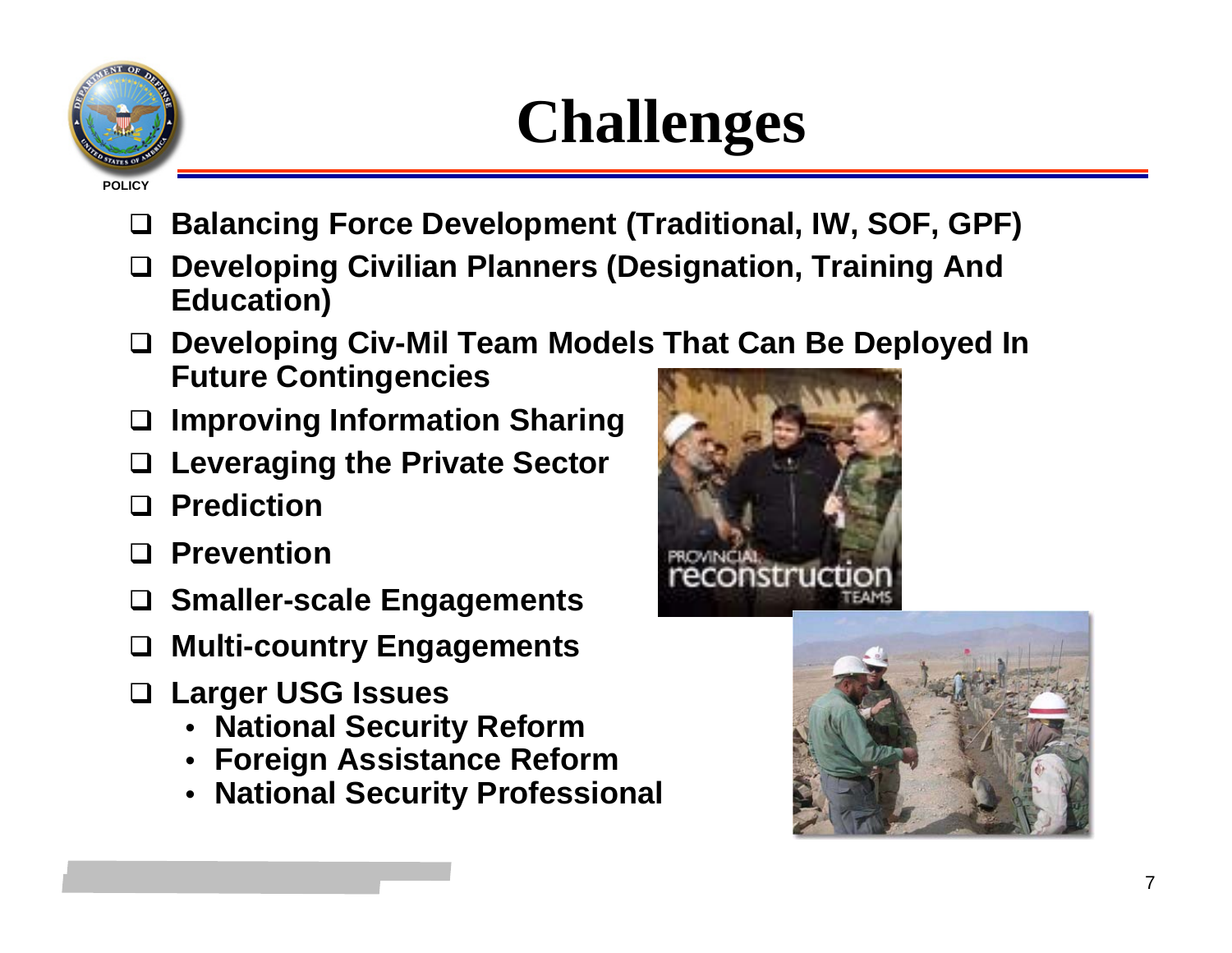

#### **Challenges**

- $\Box$ **Balancing Force Development (Traditional, IW, SOF, GPF)**
- $\Box$  **Developing Civilian Planners (Designation, Training And Education)**
- **Developing Civ-Mil Team Models That Can Be Deployed In Future Contingencies**
- **Improving Information Sharing**
- **Leveraging the Private Sector**
- **Prediction**
- **Prevention**
- **Smaller-scale Engagements**
- **Multi-country Engagements**
- **Larger USG Issues**
	- **National Security Reform**
	- **Foreign Assistance Reform**
	- **National Security Professional**